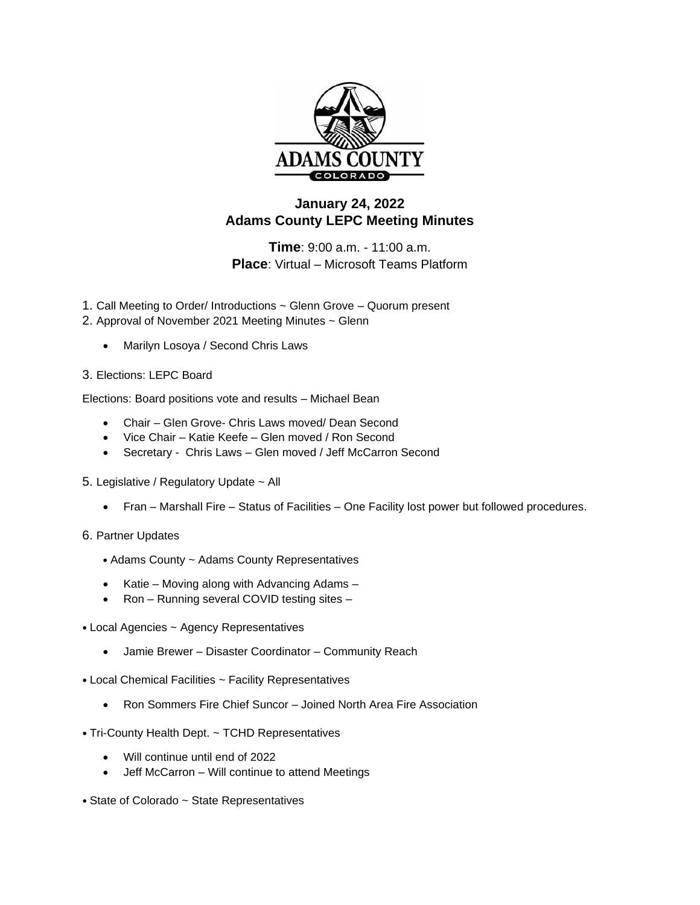

## **January 24, 2022 Adams County LEPC Meeting Minutes**

**Time**: 9:00 a.m. - 11:00 a.m. **Place**: Virtual – Microsoft Teams Platform

- 1. Call Meeting to Order/ Introductions ~ Glenn Grove Quorum present
- 2. Approval of November 2021 Meeting Minutes ~ Glenn
	- Marilyn Losoya / Second Chris Laws

## 3. Elections: LEPC Board

Elections: Board positions vote and results – Michael Bean

- Chair Glen Grove- Chris Laws moved/ Dean Second
- Vice Chair Katie Keefe Glen moved / Ron Second
- Secretary Chris Laws Glen moved / Jeff McCarron Second
- 5. Legislative / Regulatory Update ~ All
	- Fran Marshall Fire Status of Facilities One Facility lost power but followed procedures.
- 6. Partner Updates
	- Adams County ~ Adams County Representatives
	- Katie Moving along with Advancing Adams –
	- Ron Running several COVID testing sites –
- Local Agencies ~ Agency Representatives
	- Jamie Brewer Disaster Coordinator Community Reach
- Local Chemical Facilities ~ Facility Representatives
	- Ron Sommers Fire Chief Suncor Joined North Area Fire Association
- Tri-County Health Dept. ~ TCHD Representatives
	- Will continue until end of 2022
	- Jeff McCarron Will continue to attend Meetings
- State of Colorado ~ State Representatives